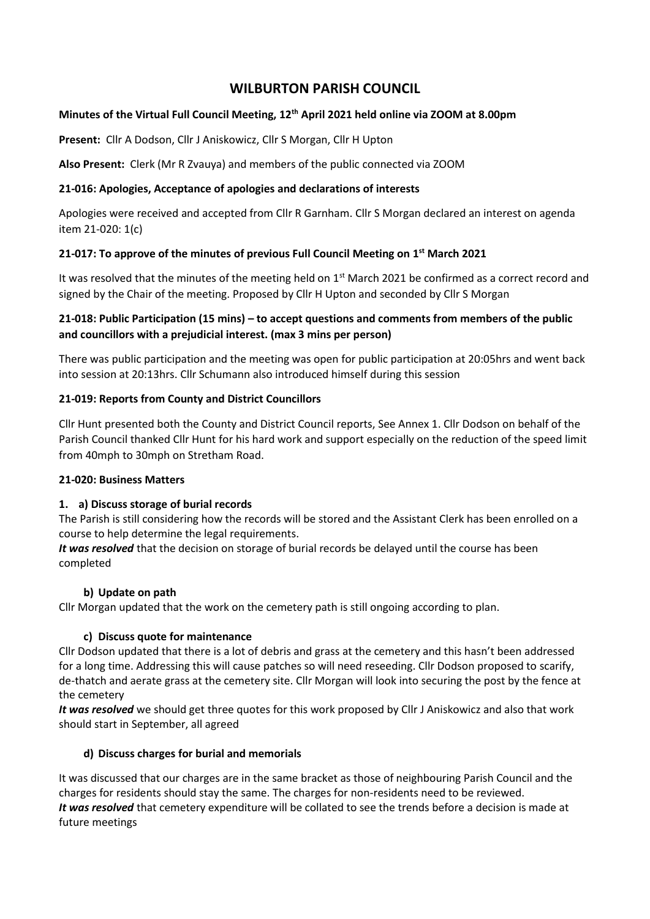# **WILBURTON PARISH COUNCIL**

# **Minutes of the Virtual Full Council Meeting, 12th April 2021 held online via ZOOM at 8.00pm**

**Present:** Cllr A Dodson, Cllr J Aniskowicz, Cllr S Morgan, Cllr H Upton

**Also Present:** Clerk (Mr R Zvauya) and members of the public connected via ZOOM

### **21-016: Apologies, Acceptance of apologies and declarations of interests**

Apologies were received and accepted from Cllr R Garnham. Cllr S Morgan declared an interest on agenda item 21-020: 1(c)

#### **21-017: To approve of the minutes of previous Full Council Meeting on 1 st March 2021**

It was resolved that the minutes of the meeting held on 1<sup>st</sup> March 2021 be confirmed as a correct record and signed by the Chair of the meeting. Proposed by Cllr H Upton and seconded by Cllr S Morgan

# **21-018: Public Participation (15 mins) – to accept questions and comments from members of the public and councillors with a prejudicial interest. (max 3 mins per person)**

There was public participation and the meeting was open for public participation at 20:05hrs and went back into session at 20:13hrs. Cllr Schumann also introduced himself during this session

#### **21-019: Reports from County and District Councillors**

Cllr Hunt presented both the County and District Council reports, See Annex 1. Cllr Dodson on behalf of the Parish Council thanked Cllr Hunt for his hard work and support especially on the reduction of the speed limit from 40mph to 30mph on Stretham Road.

#### **21-020: Business Matters**

# **1. a) Discuss storage of burial records**

The Parish is still considering how the records will be stored and the Assistant Clerk has been enrolled on a course to help determine the legal requirements.

*It was resolved* that the decision on storage of burial records be delayed until the course has been completed

#### **b) Update on path**

Cllr Morgan updated that the work on the cemetery path is still ongoing according to plan.

# **c) Discuss quote for maintenance**

Cllr Dodson updated that there is a lot of debris and grass at the cemetery and this hasn't been addressed for a long time. Addressing this will cause patches so will need reseeding. Cllr Dodson proposed to scarify, de-thatch and aerate grass at the cemetery site. Cllr Morgan will look into securing the post by the fence at the cemetery

*It was resolved* we should get three quotes for this work proposed by Cllr J Aniskowicz and also that work should start in September, all agreed

# **d) Discuss charges for burial and memorials**

It was discussed that our charges are in the same bracket as those of neighbouring Parish Council and the charges for residents should stay the same. The charges for non-residents need to be reviewed. *It was resolved* that cemetery expenditure will be collated to see the trends before a decision is made at future meetings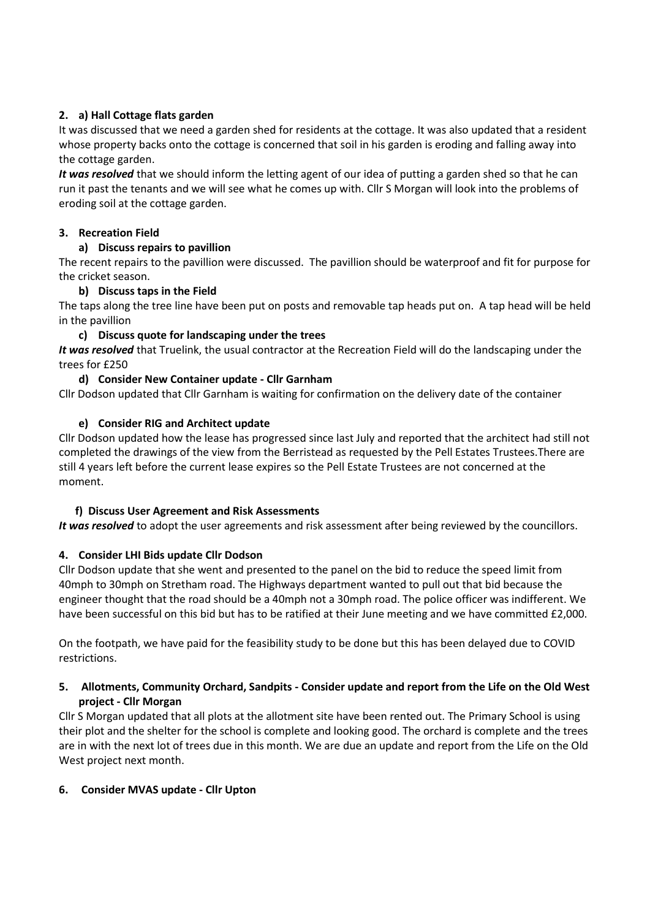# **2. a) Hall Cottage flats garden**

It was discussed that we need a garden shed for residents at the cottage. It was also updated that a resident whose property backs onto the cottage is concerned that soil in his garden is eroding and falling away into the cottage garden.

*It was resolved* that we should inform the letting agent of our idea of putting a garden shed so that he can run it past the tenants and we will see what he comes up with. Cllr S Morgan will look into the problems of eroding soil at the cottage garden.

# **3. Recreation Field**

# **a) Discuss repairs to pavillion**

The recent repairs to the pavillion were discussed. The pavillion should be waterproof and fit for purpose for the cricket season.

# **b) Discuss taps in the Field**

The taps along the tree line have been put on posts and removable tap heads put on. A tap head will be held in the pavillion

#### **c) Discuss quote for landscaping under the trees**

*It was resolved* that Truelink, the usual contractor at the Recreation Field will do the landscaping under the trees for £250

# **d) Consider New Container update - Cllr Garnham**

Cllr Dodson updated that Cllr Garnham is waiting for confirmation on the delivery date of the container

# **e) Consider RIG and Architect update**

Cllr Dodson updated how the lease has progressed since last July and reported that the architect had still not completed the drawings of the view from the Berristead as requested by the Pell Estates Trustees.There are still 4 years left before the current lease expires so the Pell Estate Trustees are not concerned at the moment.

# **f) Discuss User Agreement and Risk Assessments**

*It was resolved* to adopt the user agreements and risk assessment after being reviewed by the councillors.

# **4. Consider LHI Bids update Cllr Dodson**

Cllr Dodson update that she went and presented to the panel on the bid to reduce the speed limit from 40mph to 30mph on Stretham road. The Highways department wanted to pull out that bid because the engineer thought that the road should be a 40mph not a 30mph road. The police officer was indifferent. We have been successful on this bid but has to be ratified at their June meeting and we have committed £2,000.

On the footpath, we have paid for the feasibility study to be done but this has been delayed due to COVID restrictions.

#### **5. Allotments, Community Orchard, Sandpits - Consider update and report from the Life on the Old West project - Cllr Morgan**

Cllr S Morgan updated that all plots at the allotment site have been rented out. The Primary School is using their plot and the shelter for the school is complete and looking good. The orchard is complete and the trees are in with the next lot of trees due in this month. We are due an update and report from the Life on the Old West project next month.

#### **6. Consider MVAS update - Cllr Upton**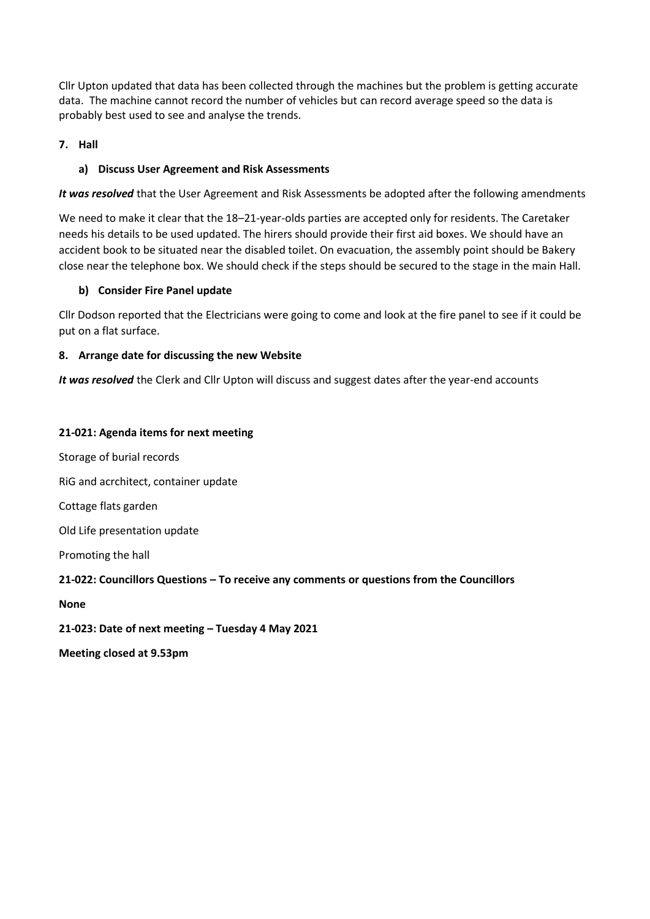Cllr Upton updated that data has been collected through the machines but the problem is getting accurate data. The machine cannot record the number of vehicles but can record average speed so the data is probably best used to see and analyse the trends.

# **7. Hall**

### **a) Discuss User Agreement and Risk Assessments**

*It was resolved* that the User Agreement and Risk Assessments be adopted after the following amendments

We need to make it clear that the 18–21-year-olds parties are accepted only for residents. The Caretaker needs his details to be used updated. The hirers should provide their first aid boxes. We should have an accident book to be situated near the disabled toilet. On evacuation, the assembly point should be Bakery close near the telephone box. We should check if the steps should be secured to the stage in the main Hall.

#### **b) Consider Fire Panel update**

Cllr Dodson reported that the Electricians were going to come and look at the fire panel to see if it could be put on a flat surface.

#### **8. Arrange date for discussing the new Website**

*It was resolved* the Clerk and Cllr Upton will discuss and suggest dates after the year-end accounts

#### **21-021: Agenda items for next meeting**

Storage of burial records RiG and acrchitect, container update Cottage flats garden Old Life presentation update Promoting the hall **21-022: Councillors Questions – To receive any comments or questions from the Councillors None**

**21-023: Date of next meeting – Tuesday 4 May 2021**

**Meeting closed at 9.53pm**